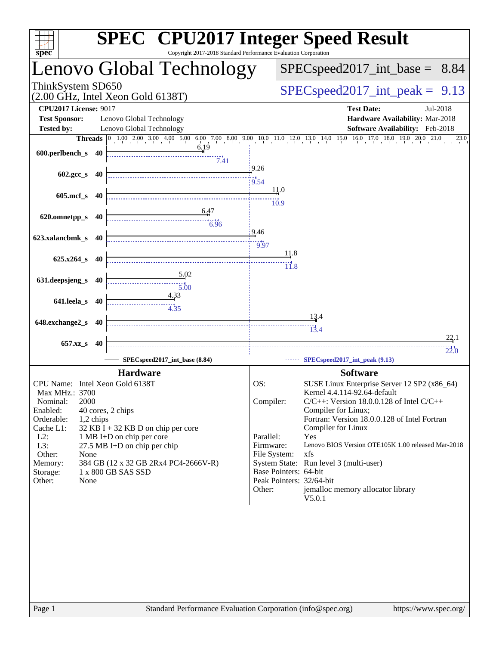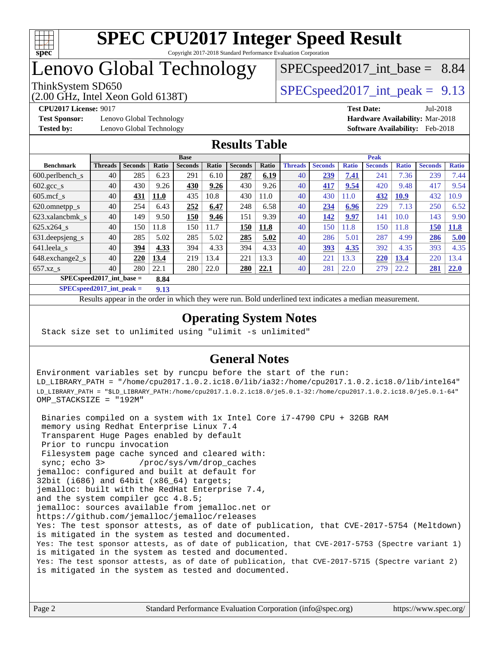

# Lenovo Global Technology

# $SPECspeed2017\_int\_base = 8.84$

(2.00 GHz, Intel Xeon Gold 6138T)

ThinkSystem SD650  $SPEC speed2017$  int peak = 9.13

**[Test Sponsor:](http://www.spec.org/auto/cpu2017/Docs/result-fields.html#TestSponsor)** Lenovo Global Technology **[Hardware Availability:](http://www.spec.org/auto/cpu2017/Docs/result-fields.html#HardwareAvailability)** Mar-2018

**[CPU2017 License:](http://www.spec.org/auto/cpu2017/Docs/result-fields.html#CPU2017License)** 9017 **[Test Date:](http://www.spec.org/auto/cpu2017/Docs/result-fields.html#TestDate)** Jul-2018 **[Tested by:](http://www.spec.org/auto/cpu2017/Docs/result-fields.html#Testedby)** Lenovo Global Technology **[Software Availability:](http://www.spec.org/auto/cpu2017/Docs/result-fields.html#SoftwareAvailability)** Feb-2018

### **[Results Table](http://www.spec.org/auto/cpu2017/Docs/result-fields.html#ResultsTable)**

|                            | <b>Base</b>    |                |              |                |       |                |       | <b>Peak</b>    |                |              |                |              |                |              |
|----------------------------|----------------|----------------|--------------|----------------|-------|----------------|-------|----------------|----------------|--------------|----------------|--------------|----------------|--------------|
| <b>Benchmark</b>           | <b>Threads</b> | <b>Seconds</b> | <b>Ratio</b> | <b>Seconds</b> | Ratio | <b>Seconds</b> | Ratio | <b>Threads</b> | <b>Seconds</b> | <b>Ratio</b> | <b>Seconds</b> | <b>Ratio</b> | <b>Seconds</b> | <b>Ratio</b> |
| $600.$ perlbench $_s$      | 40             | 285            | 6.23         | 291            | 6.10  | 287            | 6.19  | 40             | 239            | 7.41         | 241            | 7.36         | 239            | 7.44         |
| $602.\text{gcc}\_\text{s}$ | 40             | 430            | 9.26         | 430            | 9.26  | 430            | 9.26  | 40             | 417            | 9.54         | 420            | 9.48         | 417            | 9.54         |
| $605 \text{.mcf}$ s        | 40             | 431            | <b>11.0</b>  | 435            | 10.8  | 430            | 11.0  | 40             | 430            | 11.0         | 432            | <b>10.9</b>  | 432            | 10.9         |
| 620.omnetpp_s              | 40             | 254            | 6.43         | 252            | 6.47  | 248            | 6.58  | 40             | 234            | 6.96         | 229            | 7.13         | 250            | 6.52         |
| 623.xalancbmk s            | 40             | 149            | 9.50         | 150            | 9.46  | 151            | 9.39  | 40             | 142            | 9.97         | 141            | 10.0         | 143            | 9.90         |
| 625.x264 s                 | 40             | 150            | 11.8         | 150            | 11.7  | 150            | 11.8  | 40             | 150            | 11.8         | 150            | 11.8         | 150            | <b>11.8</b>  |
| 631.deepsjeng_s            | 40             | 285            | 5.02         | 285            | 5.02  | 285            | 5.02  | 40             | 286            | 5.01         | 287            | 4.99         | 286            | 5.00         |
| 641.leela s                | 40             | 394            | 4.33         | 394            | 4.33  | 394            | 4.33  | 40             | 393            | 4.35         | 392            | 4.35         | 393            | 4.35         |
| 648.exchange2_s            | 40             | 220            | 13.4         | 219            | 13.4  | 221            | 13.3  | 40             | 221            | 13.3         | 220            | 13.4         | 220            | 13.4         |
| $657.xz$ s                 | 40             | 280            | 22.1         | 280            | 22.0  | 280            | 22.1  | 40             | 281            | 22.0         | 279            | 22.2         | 281            | 22.0         |
| $SPECspeed2017$ int base = |                |                | 8.84         |                |       |                |       |                |                |              |                |              |                |              |

**[SPECspeed2017\\_int\\_peak =](http://www.spec.org/auto/cpu2017/Docs/result-fields.html#SPECspeed2017intpeak) 9.13**

Results appear in the [order in which they were run.](http://www.spec.org/auto/cpu2017/Docs/result-fields.html#RunOrder) Bold underlined text [indicates a median measurement](http://www.spec.org/auto/cpu2017/Docs/result-fields.html#Median).

### **[Operating System Notes](http://www.spec.org/auto/cpu2017/Docs/result-fields.html#OperatingSystemNotes)**

Stack size set to unlimited using "ulimit -s unlimited"

### **[General Notes](http://www.spec.org/auto/cpu2017/Docs/result-fields.html#GeneralNotes)**

Environment variables set by runcpu before the start of the run: LD\_LIBRARY\_PATH = "/home/cpu2017.1.0.2.ic18.0/lib/ia32:/home/cpu2017.1.0.2.ic18.0/lib/intel64" LD\_LIBRARY\_PATH = "\$LD\_LIBRARY\_PATH:/home/cpu2017.1.0.2.ic18.0/je5.0.1-32:/home/cpu2017.1.0.2.ic18.0/je5.0.1-64" OMP\_STACKSIZE = "192M"

 Binaries compiled on a system with 1x Intel Core i7-4790 CPU + 32GB RAM memory using Redhat Enterprise Linux 7.4 Transparent Huge Pages enabled by default Prior to runcpu invocation Filesystem page cache synced and cleared with: sync; echo 3> /proc/sys/vm/drop\_caches jemalloc: configured and built at default for 32bit (i686) and 64bit (x86\_64) targets; jemalloc: built with the RedHat Enterprise 7.4, and the system compiler gcc 4.8.5; jemalloc: sources available from jemalloc.net or <https://github.com/jemalloc/jemalloc/releases> Yes: The test sponsor attests, as of date of publication, that CVE-2017-5754 (Meltdown) is mitigated in the system as tested and documented. Yes: The test sponsor attests, as of date of publication, that CVE-2017-5753 (Spectre variant 1) is mitigated in the system as tested and documented. Yes: The test sponsor attests, as of date of publication, that CVE-2017-5715 (Spectre variant 2) is mitigated in the system as tested and documented.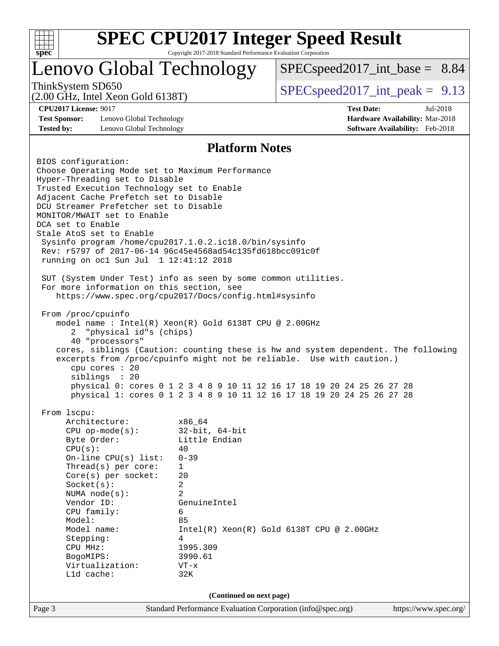

# Lenovo Global Technology

 $SPECspeed2017\_int\_base = 8.84$ 

(2.00 GHz, Intel Xeon Gold 6138T)

ThinkSystem SD650  $SPEC speed2017$  int peak = 9.13

**[Test Sponsor:](http://www.spec.org/auto/cpu2017/Docs/result-fields.html#TestSponsor)** Lenovo Global Technology **[Hardware Availability:](http://www.spec.org/auto/cpu2017/Docs/result-fields.html#HardwareAvailability)** Mar-2018 **[Tested by:](http://www.spec.org/auto/cpu2017/Docs/result-fields.html#Testedby)** Lenovo Global Technology **[Software Availability:](http://www.spec.org/auto/cpu2017/Docs/result-fields.html#SoftwareAvailability)** Feb-2018

**[CPU2017 License:](http://www.spec.org/auto/cpu2017/Docs/result-fields.html#CPU2017License)** 9017 **[Test Date:](http://www.spec.org/auto/cpu2017/Docs/result-fields.html#TestDate)** Jul-2018

### **[Platform Notes](http://www.spec.org/auto/cpu2017/Docs/result-fields.html#PlatformNotes)**

Page 3 Standard Performance Evaluation Corporation [\(info@spec.org\)](mailto:info@spec.org) <https://www.spec.org/> BIOS configuration: Choose Operating Mode set to Maximum Performance Hyper-Threading set to Disable Trusted Execution Technology set to Enable Adjacent Cache Prefetch set to Disable DCU Streamer Prefetcher set to Disable MONITOR/MWAIT set to Enable DCA set to Enable Stale AtoS set to Enable Sysinfo program /home/cpu2017.1.0.2.ic18.0/bin/sysinfo Rev: r5797 of 2017-06-14 96c45e4568ad54c135fd618bcc091c0f running on oc1 Sun Jul 1 12:41:12 2018 SUT (System Under Test) info as seen by some common utilities. For more information on this section, see <https://www.spec.org/cpu2017/Docs/config.html#sysinfo> From /proc/cpuinfo model name : Intel(R) Xeon(R) Gold 6138T CPU @ 2.00GHz 2 "physical id"s (chips) 40 "processors" cores, siblings (Caution: counting these is hw and system dependent. The following excerpts from /proc/cpuinfo might not be reliable. Use with caution.) cpu cores : 20 siblings : 20 physical 0: cores 0 1 2 3 4 8 9 10 11 12 16 17 18 19 20 24 25 26 27 28 physical 1: cores 0 1 2 3 4 8 9 10 11 12 16 17 18 19 20 24 25 26 27 28 From lscpu: Architecture: x86\_64 CPU op-mode(s): 32-bit, 64-bit Byte Order: Little Endian  $CPU(s):$  40 On-line CPU(s) list: 0-39 Thread(s) per core: 1 Core(s) per socket: 20 Socket(s): 2 NUMA node(s): 2 Vendor ID: GenuineIntel CPU family: 6 Model: 85 Model name: Intel(R) Xeon(R) Gold 6138T CPU @ 2.00GHz Stepping: 4 CPU MHz: 1995.309 BogoMIPS: 3990.61 Virtualization: VT-x L1d cache: 32K **(Continued on next page)**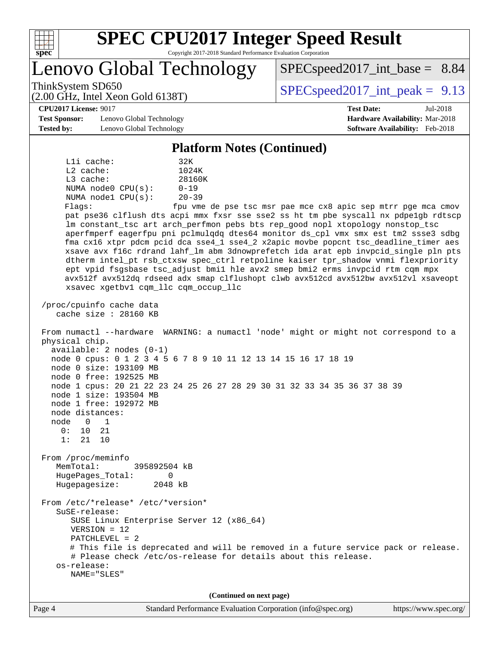

Lenovo Global Technology

ThinkSystem SD650  $SPEC speed2017$  int peak = 9.13

 $SPECspeed2017\_int\_base = 8.84$ 

(2.00 GHz, Intel Xeon Gold 6138T)

**[CPU2017 License:](http://www.spec.org/auto/cpu2017/Docs/result-fields.html#CPU2017License)** 9017 **[Test Date:](http://www.spec.org/auto/cpu2017/Docs/result-fields.html#TestDate)** Jul-2018

**[Test Sponsor:](http://www.spec.org/auto/cpu2017/Docs/result-fields.html#TestSponsor)** Lenovo Global Technology **[Hardware Availability:](http://www.spec.org/auto/cpu2017/Docs/result-fields.html#HardwareAvailability)** Mar-2018 **[Tested by:](http://www.spec.org/auto/cpu2017/Docs/result-fields.html#Testedby)** Lenovo Global Technology **[Software Availability:](http://www.spec.org/auto/cpu2017/Docs/result-fields.html#SoftwareAvailability)** Feb-2018

#### **[Platform Notes \(Continued\)](http://www.spec.org/auto/cpu2017/Docs/result-fields.html#PlatformNotes)**

L1i cache: 32K L2 cache: 1024K L3 cache: 28160K NUMA node0 CPU(s): 0-19 NUMA node1 CPU(s): 20-39 Flags: fpu vme de pse tsc msr pae mce cx8 apic sep mtrr pge mca cmov

 pat pse36 clflush dts acpi mmx fxsr sse sse2 ss ht tm pbe syscall nx pdpe1gb rdtscp lm constant\_tsc art arch\_perfmon pebs bts rep\_good nopl xtopology nonstop\_tsc aperfmperf eagerfpu pni pclmulqdq dtes64 monitor ds\_cpl vmx smx est tm2 ssse3 sdbg fma cx16 xtpr pdcm pcid dca sse4\_1 sse4\_2 x2apic movbe popcnt tsc\_deadline\_timer aes xsave avx f16c rdrand lahf\_lm abm 3dnowprefetch ida arat epb invpcid\_single pln pts dtherm intel\_pt rsb\_ctxsw spec\_ctrl retpoline kaiser tpr\_shadow vnmi flexpriority ept vpid fsgsbase tsc\_adjust bmi1 hle avx2 smep bmi2 erms invpcid rtm cqm mpx avx512f avx512dq rdseed adx smap clflushopt clwb avx512cd avx512bw avx512vl xsaveopt xsavec xgetbv1 cqm\_llc cqm\_occup\_llc

 /proc/cpuinfo cache data cache size : 28160 KB

 From numactl --hardware WARNING: a numactl 'node' might or might not correspond to a physical chip. available: 2 nodes (0-1)

 node 0 cpus: 0 1 2 3 4 5 6 7 8 9 10 11 12 13 14 15 16 17 18 19 node 0 size: 193109 MB node 0 free: 192525 MB

node 1 cpus: 20 21 22 23 24 25 26 27 28 29 30 31 32 33 34 35 36 37 38 39

 node 1 size: 193504 MB node 1 free: 192972 MB

 node distances: node 0 1

 0: 10 21 1: 21 10

 From /proc/meminfo MemTotal: 395892504 kB HugePages\_Total: 0

Hugepagesize: 2048 kB

From /etc/\*release\* /etc/\*version\*

 SuSE-release: SUSE Linux Enterprise Server 12 (x86\_64)

VERSION = 12

PATCHLEVEL = 2

 # This file is deprecated and will be removed in a future service pack or release. # Please check /etc/os-release for details about this release. os-release:

NAME="SLES"

**(Continued on next page)**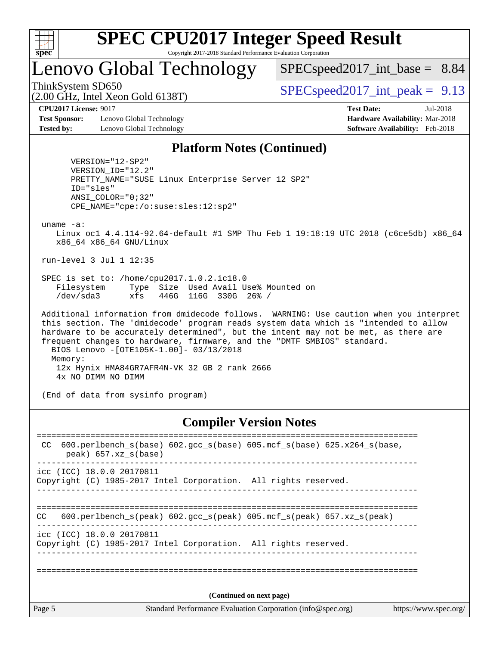

Lenovo Global Technology

 $SPECspeed2017\_int\_base = 8.84$ 

ThinkSystem SD650  $SPEC speed2017$  int peak = 9.13

**[Test Sponsor:](http://www.spec.org/auto/cpu2017/Docs/result-fields.html#TestSponsor)** Lenovo Global Technology **[Hardware Availability:](http://www.spec.org/auto/cpu2017/Docs/result-fields.html#HardwareAvailability)** Mar-2018 **[Tested by:](http://www.spec.org/auto/cpu2017/Docs/result-fields.html#Testedby)** Lenovo Global Technology **[Software Availability:](http://www.spec.org/auto/cpu2017/Docs/result-fields.html#SoftwareAvailability)** Feb-2018

(2.00 GHz, Intel Xeon Gold 6138T)

**[CPU2017 License:](http://www.spec.org/auto/cpu2017/Docs/result-fields.html#CPU2017License)** 9017 **[Test Date:](http://www.spec.org/auto/cpu2017/Docs/result-fields.html#TestDate)** Jul-2018

### **[Platform Notes \(Continued\)](http://www.spec.org/auto/cpu2017/Docs/result-fields.html#PlatformNotes)**

 VERSION="12-SP2" VERSION\_ID="12.2" PRETTY\_NAME="SUSE Linux Enterprise Server 12 SP2" ID="sles" ANSI\_COLOR="0;32" CPE\_NAME="cpe:/o:suse:sles:12:sp2"

uname -a:

 Linux oc1 4.4.114-92.64-default #1 SMP Thu Feb 1 19:18:19 UTC 2018 (c6ce5db) x86\_64 x86\_64 x86\_64 GNU/Linux

run-level 3 Jul 1 12:35

 SPEC is set to: /home/cpu2017.1.0.2.ic18.0 Filesystem Type Size Used Avail Use% Mounted on /dev/sda3 xfs 446G 116G 330G 26% /

 Additional information from dmidecode follows. WARNING: Use caution when you interpret this section. The 'dmidecode' program reads system data which is "intended to allow hardware to be accurately determined", but the intent may not be met, as there are frequent changes to hardware, firmware, and the "DMTF SMBIOS" standard. BIOS Lenovo -[OTE105K-1.00]- 03/13/2018 Memory: 12x Hynix HMA84GR7AFR4N-VK 32 GB 2 rank 2666 4x NO DIMM NO DIMM

(End of data from sysinfo program)

#### **[Compiler Version Notes](http://www.spec.org/auto/cpu2017/Docs/result-fields.html#CompilerVersionNotes)**

| CC.    | 600.perlbench $s(base)$ 602.gcc $s(base)$ 605.mcf $s(base)$ 625.x264 $s(base)$ ,<br>peak) 657.xz s(base) |
|--------|----------------------------------------------------------------------------------------------------------|
|        | icc (ICC) 18.0.0 20170811<br>Copyright (C) 1985-2017 Intel Corporation. All rights reserved.             |
| CC.    | 600.perlbench $s(\text{peak})$ 602.gcc $s(\text{peak})$ 605.mcf $s(\text{peak})$ 657.xz $s(\text{peak})$ |
|        | icc (ICC) 18.0.0 20170811<br>Copyright (C) 1985-2017 Intel Corporation. All rights reserved.             |
|        |                                                                                                          |
|        | (Continued on next page)                                                                                 |
| Page 5 | Standard Performance Evaluation Corporation (info@spec.org)<br>https://www.spec.org/                     |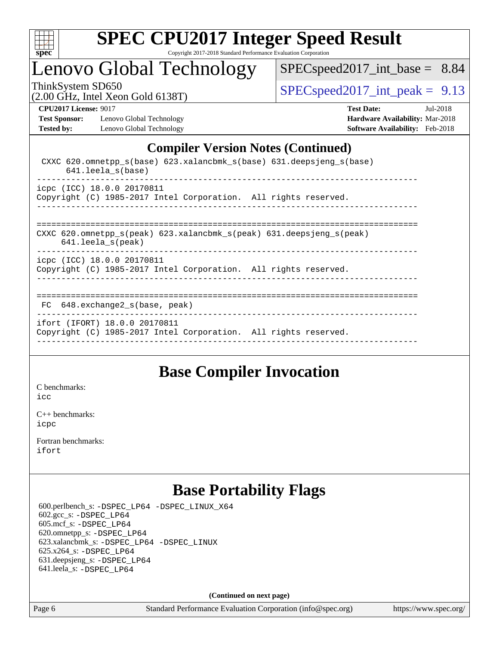

# Lenovo Global Technology

[SPECspeed2017\\_int\\_base =](http://www.spec.org/auto/cpu2017/Docs/result-fields.html#SPECspeed2017intbase) 8.84

ThinkSystem SD650<br>  $\langle 2.00 \rangle$  CH<sub>z</sub> Intel Yean Gold 6138T) [SPECspeed2017\\_int\\_peak =](http://www.spec.org/auto/cpu2017/Docs/result-fields.html#SPECspeed2017intpeak) 9.13

**[Test Sponsor:](http://www.spec.org/auto/cpu2017/Docs/result-fields.html#TestSponsor)** Lenovo Global Technology **[Hardware Availability:](http://www.spec.org/auto/cpu2017/Docs/result-fields.html#HardwareAvailability)** Mar-2018 [Tested by:](http://www.spec.org/auto/cpu2017/Docs/result-fields.html#Testedby) Lenovo Global Technology **[Software Availability:](http://www.spec.org/auto/cpu2017/Docs/result-fields.html#SoftwareAvailability)** Feb-2018

(2.00 GHz, Intel Xeon Gold 6138T)

**[CPU2017 License:](http://www.spec.org/auto/cpu2017/Docs/result-fields.html#CPU2017License)** 9017 **[Test Date:](http://www.spec.org/auto/cpu2017/Docs/result-fields.html#TestDate)** Jul-2018

### **[Compiler Version Notes \(Continued\)](http://www.spec.org/auto/cpu2017/Docs/result-fields.html#CompilerVersionNotes)**

| CXXC 620.omnetpp $s(base)$ 623.xalancbmk $s(base)$ 631.deepsjeng $s(base)$<br>$641.$ leela $s(base)$                                  |
|---------------------------------------------------------------------------------------------------------------------------------------|
| icpc (ICC) 18.0.0 20170811<br>Copyright (C) 1985-2017 Intel Corporation. All rights reserved.<br>____________________________________ |
| CXXC 620.omnetpp $s(\text{peak})$ 623.xalancbmk $s(\text{peak})$ 631.deepsjeng $s(\text{peak})$<br>$641.$ leela_s(peak)               |
| icpc (ICC) 18.0.0 20170811<br>Copyright (C) 1985-2017 Intel Corporation. All rights reserved.                                         |
| 648.exchange2 s(base, peak)<br>FC.                                                                                                    |
| ifort (IFORT) 18.0.0 20170811<br>Copyright (C) 1985-2017 Intel Corporation. All rights reserved.                                      |

### **[Base Compiler Invocation](http://www.spec.org/auto/cpu2017/Docs/result-fields.html#BaseCompilerInvocation)**

[C benchmarks](http://www.spec.org/auto/cpu2017/Docs/result-fields.html#Cbenchmarks): [icc](http://www.spec.org/cpu2017/results/res2018q3/cpu2017-20180706-07573.flags.html#user_CCbase_intel_icc_18.0_66fc1ee009f7361af1fbd72ca7dcefbb700085f36577c54f309893dd4ec40d12360134090235512931783d35fd58c0460139e722d5067c5574d8eaf2b3e37e92)

[C++ benchmarks:](http://www.spec.org/auto/cpu2017/Docs/result-fields.html#CXXbenchmarks) [icpc](http://www.spec.org/cpu2017/results/res2018q3/cpu2017-20180706-07573.flags.html#user_CXXbase_intel_icpc_18.0_c510b6838c7f56d33e37e94d029a35b4a7bccf4766a728ee175e80a419847e808290a9b78be685c44ab727ea267ec2f070ec5dc83b407c0218cded6866a35d07)

[Fortran benchmarks](http://www.spec.org/auto/cpu2017/Docs/result-fields.html#Fortranbenchmarks): [ifort](http://www.spec.org/cpu2017/results/res2018q3/cpu2017-20180706-07573.flags.html#user_FCbase_intel_ifort_18.0_8111460550e3ca792625aed983ce982f94888b8b503583aa7ba2b8303487b4d8a21a13e7191a45c5fd58ff318f48f9492884d4413fa793fd88dd292cad7027ca)

# **[Base Portability Flags](http://www.spec.org/auto/cpu2017/Docs/result-fields.html#BasePortabilityFlags)**

 600.perlbench\_s: [-DSPEC\\_LP64](http://www.spec.org/cpu2017/results/res2018q3/cpu2017-20180706-07573.flags.html#b600.perlbench_s_basePORTABILITY_DSPEC_LP64) [-DSPEC\\_LINUX\\_X64](http://www.spec.org/cpu2017/results/res2018q3/cpu2017-20180706-07573.flags.html#b600.perlbench_s_baseCPORTABILITY_DSPEC_LINUX_X64) 602.gcc\_s: [-DSPEC\\_LP64](http://www.spec.org/cpu2017/results/res2018q3/cpu2017-20180706-07573.flags.html#suite_basePORTABILITY602_gcc_s_DSPEC_LP64) 605.mcf\_s: [-DSPEC\\_LP64](http://www.spec.org/cpu2017/results/res2018q3/cpu2017-20180706-07573.flags.html#suite_basePORTABILITY605_mcf_s_DSPEC_LP64) 620.omnetpp\_s: [-DSPEC\\_LP64](http://www.spec.org/cpu2017/results/res2018q3/cpu2017-20180706-07573.flags.html#suite_basePORTABILITY620_omnetpp_s_DSPEC_LP64) 623.xalancbmk\_s: [-DSPEC\\_LP64](http://www.spec.org/cpu2017/results/res2018q3/cpu2017-20180706-07573.flags.html#suite_basePORTABILITY623_xalancbmk_s_DSPEC_LP64) [-DSPEC\\_LINUX](http://www.spec.org/cpu2017/results/res2018q3/cpu2017-20180706-07573.flags.html#b623.xalancbmk_s_baseCXXPORTABILITY_DSPEC_LINUX) 625.x264\_s: [-DSPEC\\_LP64](http://www.spec.org/cpu2017/results/res2018q3/cpu2017-20180706-07573.flags.html#suite_basePORTABILITY625_x264_s_DSPEC_LP64) 631.deepsjeng\_s: [-DSPEC\\_LP64](http://www.spec.org/cpu2017/results/res2018q3/cpu2017-20180706-07573.flags.html#suite_basePORTABILITY631_deepsjeng_s_DSPEC_LP64) 641.leela\_s: [-DSPEC\\_LP64](http://www.spec.org/cpu2017/results/res2018q3/cpu2017-20180706-07573.flags.html#suite_basePORTABILITY641_leela_s_DSPEC_LP64)

**(Continued on next page)**

Page 6 Standard Performance Evaluation Corporation [\(info@spec.org\)](mailto:info@spec.org) <https://www.spec.org/>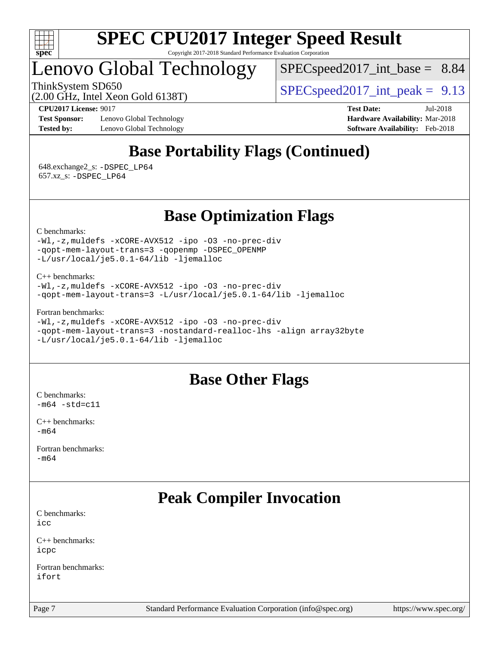

# Lenovo Global Technology

 $SPECspeed2017\_int\_base = 8.84$ 

ThinkSystem SD650  $SPEC speed2017$  int peak = 9.13

(2.00 GHz, Intel Xeon Gold 6138T)

**[Test Sponsor:](http://www.spec.org/auto/cpu2017/Docs/result-fields.html#TestSponsor)** Lenovo Global Technology **[Hardware Availability:](http://www.spec.org/auto/cpu2017/Docs/result-fields.html#HardwareAvailability)** Mar-2018 **[Tested by:](http://www.spec.org/auto/cpu2017/Docs/result-fields.html#Testedby)** Lenovo Global Technology **[Software Availability:](http://www.spec.org/auto/cpu2017/Docs/result-fields.html#SoftwareAvailability)** Feb-2018

**[CPU2017 License:](http://www.spec.org/auto/cpu2017/Docs/result-fields.html#CPU2017License)** 9017 **[Test Date:](http://www.spec.org/auto/cpu2017/Docs/result-fields.html#TestDate)** Jul-2018

# **[Base Portability Flags \(Continued\)](http://www.spec.org/auto/cpu2017/Docs/result-fields.html#BasePortabilityFlags)**

 648.exchange2\_s: [-DSPEC\\_LP64](http://www.spec.org/cpu2017/results/res2018q3/cpu2017-20180706-07573.flags.html#suite_basePORTABILITY648_exchange2_s_DSPEC_LP64) 657.xz\_s: [-DSPEC\\_LP64](http://www.spec.org/cpu2017/results/res2018q3/cpu2017-20180706-07573.flags.html#suite_basePORTABILITY657_xz_s_DSPEC_LP64)

### **[Base Optimization Flags](http://www.spec.org/auto/cpu2017/Docs/result-fields.html#BaseOptimizationFlags)**

[C benchmarks](http://www.spec.org/auto/cpu2017/Docs/result-fields.html#Cbenchmarks):

[-Wl,-z,muldefs](http://www.spec.org/cpu2017/results/res2018q3/cpu2017-20180706-07573.flags.html#user_CCbase_link_force_multiple1_b4cbdb97b34bdee9ceefcfe54f4c8ea74255f0b02a4b23e853cdb0e18eb4525ac79b5a88067c842dd0ee6996c24547a27a4b99331201badda8798ef8a743f577) [-xCORE-AVX512](http://www.spec.org/cpu2017/results/res2018q3/cpu2017-20180706-07573.flags.html#user_CCbase_f-xCORE-AVX512) [-ipo](http://www.spec.org/cpu2017/results/res2018q3/cpu2017-20180706-07573.flags.html#user_CCbase_f-ipo) [-O3](http://www.spec.org/cpu2017/results/res2018q3/cpu2017-20180706-07573.flags.html#user_CCbase_f-O3) [-no-prec-div](http://www.spec.org/cpu2017/results/res2018q3/cpu2017-20180706-07573.flags.html#user_CCbase_f-no-prec-div) [-qopt-mem-layout-trans=3](http://www.spec.org/cpu2017/results/res2018q3/cpu2017-20180706-07573.flags.html#user_CCbase_f-qopt-mem-layout-trans_de80db37974c74b1f0e20d883f0b675c88c3b01e9d123adea9b28688d64333345fb62bc4a798493513fdb68f60282f9a726aa07f478b2f7113531aecce732043) [-qopenmp](http://www.spec.org/cpu2017/results/res2018q3/cpu2017-20180706-07573.flags.html#user_CCbase_qopenmp_16be0c44f24f464004c6784a7acb94aca937f053568ce72f94b139a11c7c168634a55f6653758ddd83bcf7b8463e8028bb0b48b77bcddc6b78d5d95bb1df2967) [-DSPEC\\_OPENMP](http://www.spec.org/cpu2017/results/res2018q3/cpu2017-20180706-07573.flags.html#suite_CCbase_DSPEC_OPENMP) [-L/usr/local/je5.0.1-64/lib](http://www.spec.org/cpu2017/results/res2018q3/cpu2017-20180706-07573.flags.html#user_CCbase_jemalloc_link_path64_4b10a636b7bce113509b17f3bd0d6226c5fb2346b9178c2d0232c14f04ab830f976640479e5c33dc2bcbbdad86ecfb6634cbbd4418746f06f368b512fced5394) [-ljemalloc](http://www.spec.org/cpu2017/results/res2018q3/cpu2017-20180706-07573.flags.html#user_CCbase_jemalloc_link_lib_d1249b907c500fa1c0672f44f562e3d0f79738ae9e3c4a9c376d49f265a04b9c99b167ecedbf6711b3085be911c67ff61f150a17b3472be731631ba4d0471706)

[C++ benchmarks:](http://www.spec.org/auto/cpu2017/Docs/result-fields.html#CXXbenchmarks) [-Wl,-z,muldefs](http://www.spec.org/cpu2017/results/res2018q3/cpu2017-20180706-07573.flags.html#user_CXXbase_link_force_multiple1_b4cbdb97b34bdee9ceefcfe54f4c8ea74255f0b02a4b23e853cdb0e18eb4525ac79b5a88067c842dd0ee6996c24547a27a4b99331201badda8798ef8a743f577) [-xCORE-AVX512](http://www.spec.org/cpu2017/results/res2018q3/cpu2017-20180706-07573.flags.html#user_CXXbase_f-xCORE-AVX512) [-ipo](http://www.spec.org/cpu2017/results/res2018q3/cpu2017-20180706-07573.flags.html#user_CXXbase_f-ipo) [-O3](http://www.spec.org/cpu2017/results/res2018q3/cpu2017-20180706-07573.flags.html#user_CXXbase_f-O3) [-no-prec-div](http://www.spec.org/cpu2017/results/res2018q3/cpu2017-20180706-07573.flags.html#user_CXXbase_f-no-prec-div) [-qopt-mem-layout-trans=3](http://www.spec.org/cpu2017/results/res2018q3/cpu2017-20180706-07573.flags.html#user_CXXbase_f-qopt-mem-layout-trans_de80db37974c74b1f0e20d883f0b675c88c3b01e9d123adea9b28688d64333345fb62bc4a798493513fdb68f60282f9a726aa07f478b2f7113531aecce732043) [-L/usr/local/je5.0.1-64/lib](http://www.spec.org/cpu2017/results/res2018q3/cpu2017-20180706-07573.flags.html#user_CXXbase_jemalloc_link_path64_4b10a636b7bce113509b17f3bd0d6226c5fb2346b9178c2d0232c14f04ab830f976640479e5c33dc2bcbbdad86ecfb6634cbbd4418746f06f368b512fced5394) [-ljemalloc](http://www.spec.org/cpu2017/results/res2018q3/cpu2017-20180706-07573.flags.html#user_CXXbase_jemalloc_link_lib_d1249b907c500fa1c0672f44f562e3d0f79738ae9e3c4a9c376d49f265a04b9c99b167ecedbf6711b3085be911c67ff61f150a17b3472be731631ba4d0471706)

[Fortran benchmarks](http://www.spec.org/auto/cpu2017/Docs/result-fields.html#Fortranbenchmarks):

[-Wl,-z,muldefs](http://www.spec.org/cpu2017/results/res2018q3/cpu2017-20180706-07573.flags.html#user_FCbase_link_force_multiple1_b4cbdb97b34bdee9ceefcfe54f4c8ea74255f0b02a4b23e853cdb0e18eb4525ac79b5a88067c842dd0ee6996c24547a27a4b99331201badda8798ef8a743f577) [-xCORE-AVX512](http://www.spec.org/cpu2017/results/res2018q3/cpu2017-20180706-07573.flags.html#user_FCbase_f-xCORE-AVX512) [-ipo](http://www.spec.org/cpu2017/results/res2018q3/cpu2017-20180706-07573.flags.html#user_FCbase_f-ipo) [-O3](http://www.spec.org/cpu2017/results/res2018q3/cpu2017-20180706-07573.flags.html#user_FCbase_f-O3) [-no-prec-div](http://www.spec.org/cpu2017/results/res2018q3/cpu2017-20180706-07573.flags.html#user_FCbase_f-no-prec-div) [-qopt-mem-layout-trans=3](http://www.spec.org/cpu2017/results/res2018q3/cpu2017-20180706-07573.flags.html#user_FCbase_f-qopt-mem-layout-trans_de80db37974c74b1f0e20d883f0b675c88c3b01e9d123adea9b28688d64333345fb62bc4a798493513fdb68f60282f9a726aa07f478b2f7113531aecce732043) [-nostandard-realloc-lhs](http://www.spec.org/cpu2017/results/res2018q3/cpu2017-20180706-07573.flags.html#user_FCbase_f_2003_std_realloc_82b4557e90729c0f113870c07e44d33d6f5a304b4f63d4c15d2d0f1fab99f5daaed73bdb9275d9ae411527f28b936061aa8b9c8f2d63842963b95c9dd6426b8a) [-align array32byte](http://www.spec.org/cpu2017/results/res2018q3/cpu2017-20180706-07573.flags.html#user_FCbase_align_array32byte_b982fe038af199962ba9a80c053b8342c548c85b40b8e86eb3cc33dee0d7986a4af373ac2d51c3f7cf710a18d62fdce2948f201cd044323541f22fc0fffc51b6) [-L/usr/local/je5.0.1-64/lib](http://www.spec.org/cpu2017/results/res2018q3/cpu2017-20180706-07573.flags.html#user_FCbase_jemalloc_link_path64_4b10a636b7bce113509b17f3bd0d6226c5fb2346b9178c2d0232c14f04ab830f976640479e5c33dc2bcbbdad86ecfb6634cbbd4418746f06f368b512fced5394) [-ljemalloc](http://www.spec.org/cpu2017/results/res2018q3/cpu2017-20180706-07573.flags.html#user_FCbase_jemalloc_link_lib_d1249b907c500fa1c0672f44f562e3d0f79738ae9e3c4a9c376d49f265a04b9c99b167ecedbf6711b3085be911c67ff61f150a17b3472be731631ba4d0471706)

### **[Base Other Flags](http://www.spec.org/auto/cpu2017/Docs/result-fields.html#BaseOtherFlags)**

[C benchmarks](http://www.spec.org/auto/cpu2017/Docs/result-fields.html#Cbenchmarks):  $-m64$   $-std=cl1$ 

[C++ benchmarks:](http://www.spec.org/auto/cpu2017/Docs/result-fields.html#CXXbenchmarks) [-m64](http://www.spec.org/cpu2017/results/res2018q3/cpu2017-20180706-07573.flags.html#user_CXXbase_intel_intel64_18.0_af43caccfc8ded86e7699f2159af6efc7655f51387b94da716254467f3c01020a5059329e2569e4053f409e7c9202a7efc638f7a6d1ffb3f52dea4a3e31d82ab)

[Fortran benchmarks](http://www.spec.org/auto/cpu2017/Docs/result-fields.html#Fortranbenchmarks): [-m64](http://www.spec.org/cpu2017/results/res2018q3/cpu2017-20180706-07573.flags.html#user_FCbase_intel_intel64_18.0_af43caccfc8ded86e7699f2159af6efc7655f51387b94da716254467f3c01020a5059329e2569e4053f409e7c9202a7efc638f7a6d1ffb3f52dea4a3e31d82ab)

# **[Peak Compiler Invocation](http://www.spec.org/auto/cpu2017/Docs/result-fields.html#PeakCompilerInvocation)**

[C benchmarks](http://www.spec.org/auto/cpu2017/Docs/result-fields.html#Cbenchmarks): [icc](http://www.spec.org/cpu2017/results/res2018q3/cpu2017-20180706-07573.flags.html#user_CCpeak_intel_icc_18.0_66fc1ee009f7361af1fbd72ca7dcefbb700085f36577c54f309893dd4ec40d12360134090235512931783d35fd58c0460139e722d5067c5574d8eaf2b3e37e92)

[C++ benchmarks:](http://www.spec.org/auto/cpu2017/Docs/result-fields.html#CXXbenchmarks) [icpc](http://www.spec.org/cpu2017/results/res2018q3/cpu2017-20180706-07573.flags.html#user_CXXpeak_intel_icpc_18.0_c510b6838c7f56d33e37e94d029a35b4a7bccf4766a728ee175e80a419847e808290a9b78be685c44ab727ea267ec2f070ec5dc83b407c0218cded6866a35d07)

[Fortran benchmarks](http://www.spec.org/auto/cpu2017/Docs/result-fields.html#Fortranbenchmarks): [ifort](http://www.spec.org/cpu2017/results/res2018q3/cpu2017-20180706-07573.flags.html#user_FCpeak_intel_ifort_18.0_8111460550e3ca792625aed983ce982f94888b8b503583aa7ba2b8303487b4d8a21a13e7191a45c5fd58ff318f48f9492884d4413fa793fd88dd292cad7027ca)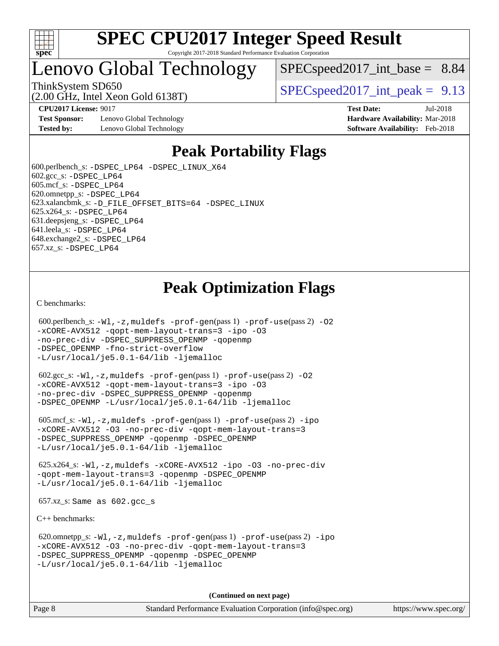

# Lenovo Global Technology

 $SPECspeed2017\_int\_base = 8.84$ 

(2.00 GHz, Intel Xeon Gold 6138T)

ThinkSystem SD650  $SPEC speed2017$  int peak = 9.13

**[CPU2017 License:](http://www.spec.org/auto/cpu2017/Docs/result-fields.html#CPU2017License)** 9017 **[Test Date:](http://www.spec.org/auto/cpu2017/Docs/result-fields.html#TestDate)** Jul-2018

**[Test Sponsor:](http://www.spec.org/auto/cpu2017/Docs/result-fields.html#TestSponsor)** Lenovo Global Technology **[Hardware Availability:](http://www.spec.org/auto/cpu2017/Docs/result-fields.html#HardwareAvailability)** Mar-2018 **[Tested by:](http://www.spec.org/auto/cpu2017/Docs/result-fields.html#Testedby)** Lenovo Global Technology **[Software Availability:](http://www.spec.org/auto/cpu2017/Docs/result-fields.html#SoftwareAvailability)** Feb-2018

### **[Peak Portability Flags](http://www.spec.org/auto/cpu2017/Docs/result-fields.html#PeakPortabilityFlags)**

 600.perlbench\_s: [-DSPEC\\_LP64](http://www.spec.org/cpu2017/results/res2018q3/cpu2017-20180706-07573.flags.html#b600.perlbench_s_peakPORTABILITY_DSPEC_LP64) [-DSPEC\\_LINUX\\_X64](http://www.spec.org/cpu2017/results/res2018q3/cpu2017-20180706-07573.flags.html#b600.perlbench_s_peakCPORTABILITY_DSPEC_LINUX_X64) 602.gcc\_s: [-DSPEC\\_LP64](http://www.spec.org/cpu2017/results/res2018q3/cpu2017-20180706-07573.flags.html#suite_peakPORTABILITY602_gcc_s_DSPEC_LP64) 605.mcf\_s: [-DSPEC\\_LP64](http://www.spec.org/cpu2017/results/res2018q3/cpu2017-20180706-07573.flags.html#suite_peakPORTABILITY605_mcf_s_DSPEC_LP64) 620.omnetpp\_s: [-DSPEC\\_LP64](http://www.spec.org/cpu2017/results/res2018q3/cpu2017-20180706-07573.flags.html#suite_peakPORTABILITY620_omnetpp_s_DSPEC_LP64) 623.xalancbmk\_s: [-D\\_FILE\\_OFFSET\\_BITS=64](http://www.spec.org/cpu2017/results/res2018q3/cpu2017-20180706-07573.flags.html#user_peakPORTABILITY623_xalancbmk_s_file_offset_bits_64_5ae949a99b284ddf4e95728d47cb0843d81b2eb0e18bdfe74bbf0f61d0b064f4bda2f10ea5eb90e1dcab0e84dbc592acfc5018bc955c18609f94ddb8d550002c) [-DSPEC\\_LINUX](http://www.spec.org/cpu2017/results/res2018q3/cpu2017-20180706-07573.flags.html#b623.xalancbmk_s_peakCXXPORTABILITY_DSPEC_LINUX) 625.x264\_s: [-DSPEC\\_LP64](http://www.spec.org/cpu2017/results/res2018q3/cpu2017-20180706-07573.flags.html#suite_peakPORTABILITY625_x264_s_DSPEC_LP64) 631.deepsjeng\_s: [-DSPEC\\_LP64](http://www.spec.org/cpu2017/results/res2018q3/cpu2017-20180706-07573.flags.html#suite_peakPORTABILITY631_deepsjeng_s_DSPEC_LP64) 641.leela\_s: [-DSPEC\\_LP64](http://www.spec.org/cpu2017/results/res2018q3/cpu2017-20180706-07573.flags.html#suite_peakPORTABILITY641_leela_s_DSPEC_LP64) 648.exchange2\_s: [-DSPEC\\_LP64](http://www.spec.org/cpu2017/results/res2018q3/cpu2017-20180706-07573.flags.html#suite_peakPORTABILITY648_exchange2_s_DSPEC_LP64) 657.xz\_s: [-DSPEC\\_LP64](http://www.spec.org/cpu2017/results/res2018q3/cpu2017-20180706-07573.flags.html#suite_peakPORTABILITY657_xz_s_DSPEC_LP64)

## **[Peak Optimization Flags](http://www.spec.org/auto/cpu2017/Docs/result-fields.html#PeakOptimizationFlags)**

[C benchmarks](http://www.spec.org/auto/cpu2017/Docs/result-fields.html#Cbenchmarks):

```
600.perlbench_s: -W1-prof-gen-prof-use(pass 2) -02
-xCORE-AVX512 -qopt-mem-layout-trans=3 -ipo -O3
-no-prec-div -DSPEC_SUPPRESS_OPENMP -qopenmp
-DSPEC_OPENMP -fno-strict-overflow
-L/usr/local/je5.0.1-64/lib -ljemalloc
```
 602.gcc\_s: [-Wl,-z,muldefs](http://www.spec.org/cpu2017/results/res2018q3/cpu2017-20180706-07573.flags.html#user_peakEXTRA_LDFLAGS602_gcc_s_link_force_multiple1_b4cbdb97b34bdee9ceefcfe54f4c8ea74255f0b02a4b23e853cdb0e18eb4525ac79b5a88067c842dd0ee6996c24547a27a4b99331201badda8798ef8a743f577) [-prof-gen](http://www.spec.org/cpu2017/results/res2018q3/cpu2017-20180706-07573.flags.html#user_peakPASS1_CFLAGSPASS1_LDFLAGS602_gcc_s_prof_gen_5aa4926d6013ddb2a31985c654b3eb18169fc0c6952a63635c234f711e6e63dd76e94ad52365559451ec499a2cdb89e4dc58ba4c67ef54ca681ffbe1461d6b36)(pass 1) [-prof-use](http://www.spec.org/cpu2017/results/res2018q3/cpu2017-20180706-07573.flags.html#user_peakPASS2_CFLAGSPASS2_LDFLAGS602_gcc_s_prof_use_1a21ceae95f36a2b53c25747139a6c16ca95bd9def2a207b4f0849963b97e94f5260e30a0c64f4bb623698870e679ca08317ef8150905d41bd88c6f78df73f19)(pass 2) [-O2](http://www.spec.org/cpu2017/results/res2018q3/cpu2017-20180706-07573.flags.html#user_peakPASS1_COPTIMIZE602_gcc_s_f-O2) [-xCORE-AVX512](http://www.spec.org/cpu2017/results/res2018q3/cpu2017-20180706-07573.flags.html#user_peakPASS2_COPTIMIZE602_gcc_s_f-xCORE-AVX512) [-qopt-mem-layout-trans=3](http://www.spec.org/cpu2017/results/res2018q3/cpu2017-20180706-07573.flags.html#user_peakPASS1_COPTIMIZEPASS2_COPTIMIZE602_gcc_s_f-qopt-mem-layout-trans_de80db37974c74b1f0e20d883f0b675c88c3b01e9d123adea9b28688d64333345fb62bc4a798493513fdb68f60282f9a726aa07f478b2f7113531aecce732043) [-ipo](http://www.spec.org/cpu2017/results/res2018q3/cpu2017-20180706-07573.flags.html#user_peakPASS2_COPTIMIZE602_gcc_s_f-ipo) [-O3](http://www.spec.org/cpu2017/results/res2018q3/cpu2017-20180706-07573.flags.html#user_peakPASS2_COPTIMIZE602_gcc_s_f-O3) [-no-prec-div](http://www.spec.org/cpu2017/results/res2018q3/cpu2017-20180706-07573.flags.html#user_peakPASS2_COPTIMIZE602_gcc_s_f-no-prec-div) [-DSPEC\\_SUPPRESS\\_OPENMP](http://www.spec.org/cpu2017/results/res2018q3/cpu2017-20180706-07573.flags.html#suite_peakPASS1_COPTIMIZE602_gcc_s_DSPEC_SUPPRESS_OPENMP) [-qopenmp](http://www.spec.org/cpu2017/results/res2018q3/cpu2017-20180706-07573.flags.html#user_peakPASS2_COPTIMIZE602_gcc_s_qopenmp_16be0c44f24f464004c6784a7acb94aca937f053568ce72f94b139a11c7c168634a55f6653758ddd83bcf7b8463e8028bb0b48b77bcddc6b78d5d95bb1df2967) [-DSPEC\\_OPENMP](http://www.spec.org/cpu2017/results/res2018q3/cpu2017-20180706-07573.flags.html#suite_peakPASS2_COPTIMIZE602_gcc_s_DSPEC_OPENMP) [-L/usr/local/je5.0.1-64/lib](http://www.spec.org/cpu2017/results/res2018q3/cpu2017-20180706-07573.flags.html#user_peakEXTRA_LIBS602_gcc_s_jemalloc_link_path64_4b10a636b7bce113509b17f3bd0d6226c5fb2346b9178c2d0232c14f04ab830f976640479e5c33dc2bcbbdad86ecfb6634cbbd4418746f06f368b512fced5394) [-ljemalloc](http://www.spec.org/cpu2017/results/res2018q3/cpu2017-20180706-07573.flags.html#user_peakEXTRA_LIBS602_gcc_s_jemalloc_link_lib_d1249b907c500fa1c0672f44f562e3d0f79738ae9e3c4a9c376d49f265a04b9c99b167ecedbf6711b3085be911c67ff61f150a17b3472be731631ba4d0471706)

 605.mcf\_s: [-Wl,-z,muldefs](http://www.spec.org/cpu2017/results/res2018q3/cpu2017-20180706-07573.flags.html#user_peakEXTRA_LDFLAGS605_mcf_s_link_force_multiple1_b4cbdb97b34bdee9ceefcfe54f4c8ea74255f0b02a4b23e853cdb0e18eb4525ac79b5a88067c842dd0ee6996c24547a27a4b99331201badda8798ef8a743f577) [-prof-gen](http://www.spec.org/cpu2017/results/res2018q3/cpu2017-20180706-07573.flags.html#user_peakPASS1_CFLAGSPASS1_LDFLAGS605_mcf_s_prof_gen_5aa4926d6013ddb2a31985c654b3eb18169fc0c6952a63635c234f711e6e63dd76e94ad52365559451ec499a2cdb89e4dc58ba4c67ef54ca681ffbe1461d6b36)(pass 1) [-prof-use](http://www.spec.org/cpu2017/results/res2018q3/cpu2017-20180706-07573.flags.html#user_peakPASS2_CFLAGSPASS2_LDFLAGS605_mcf_s_prof_use_1a21ceae95f36a2b53c25747139a6c16ca95bd9def2a207b4f0849963b97e94f5260e30a0c64f4bb623698870e679ca08317ef8150905d41bd88c6f78df73f19)(pass 2) [-ipo](http://www.spec.org/cpu2017/results/res2018q3/cpu2017-20180706-07573.flags.html#user_peakPASS1_COPTIMIZEPASS2_COPTIMIZE605_mcf_s_f-ipo) [-xCORE-AVX512](http://www.spec.org/cpu2017/results/res2018q3/cpu2017-20180706-07573.flags.html#user_peakPASS2_COPTIMIZE605_mcf_s_f-xCORE-AVX512) [-O3](http://www.spec.org/cpu2017/results/res2018q3/cpu2017-20180706-07573.flags.html#user_peakPASS1_COPTIMIZEPASS2_COPTIMIZE605_mcf_s_f-O3) [-no-prec-div](http://www.spec.org/cpu2017/results/res2018q3/cpu2017-20180706-07573.flags.html#user_peakPASS1_COPTIMIZEPASS2_COPTIMIZE605_mcf_s_f-no-prec-div) [-qopt-mem-layout-trans=3](http://www.spec.org/cpu2017/results/res2018q3/cpu2017-20180706-07573.flags.html#user_peakPASS1_COPTIMIZEPASS2_COPTIMIZE605_mcf_s_f-qopt-mem-layout-trans_de80db37974c74b1f0e20d883f0b675c88c3b01e9d123adea9b28688d64333345fb62bc4a798493513fdb68f60282f9a726aa07f478b2f7113531aecce732043) [-DSPEC\\_SUPPRESS\\_OPENMP](http://www.spec.org/cpu2017/results/res2018q3/cpu2017-20180706-07573.flags.html#suite_peakPASS1_COPTIMIZE605_mcf_s_DSPEC_SUPPRESS_OPENMP) [-qopenmp](http://www.spec.org/cpu2017/results/res2018q3/cpu2017-20180706-07573.flags.html#user_peakPASS2_COPTIMIZE605_mcf_s_qopenmp_16be0c44f24f464004c6784a7acb94aca937f053568ce72f94b139a11c7c168634a55f6653758ddd83bcf7b8463e8028bb0b48b77bcddc6b78d5d95bb1df2967) [-DSPEC\\_OPENMP](http://www.spec.org/cpu2017/results/res2018q3/cpu2017-20180706-07573.flags.html#suite_peakPASS2_COPTIMIZE605_mcf_s_DSPEC_OPENMP) [-L/usr/local/je5.0.1-64/lib](http://www.spec.org/cpu2017/results/res2018q3/cpu2017-20180706-07573.flags.html#user_peakEXTRA_LIBS605_mcf_s_jemalloc_link_path64_4b10a636b7bce113509b17f3bd0d6226c5fb2346b9178c2d0232c14f04ab830f976640479e5c33dc2bcbbdad86ecfb6634cbbd4418746f06f368b512fced5394) [-ljemalloc](http://www.spec.org/cpu2017/results/res2018q3/cpu2017-20180706-07573.flags.html#user_peakEXTRA_LIBS605_mcf_s_jemalloc_link_lib_d1249b907c500fa1c0672f44f562e3d0f79738ae9e3c4a9c376d49f265a04b9c99b167ecedbf6711b3085be911c67ff61f150a17b3472be731631ba4d0471706)

 625.x264\_s: [-Wl,-z,muldefs](http://www.spec.org/cpu2017/results/res2018q3/cpu2017-20180706-07573.flags.html#user_peakEXTRA_LDFLAGS625_x264_s_link_force_multiple1_b4cbdb97b34bdee9ceefcfe54f4c8ea74255f0b02a4b23e853cdb0e18eb4525ac79b5a88067c842dd0ee6996c24547a27a4b99331201badda8798ef8a743f577) [-xCORE-AVX512](http://www.spec.org/cpu2017/results/res2018q3/cpu2017-20180706-07573.flags.html#user_peakCOPTIMIZE625_x264_s_f-xCORE-AVX512) [-ipo](http://www.spec.org/cpu2017/results/res2018q3/cpu2017-20180706-07573.flags.html#user_peakCOPTIMIZE625_x264_s_f-ipo) [-O3](http://www.spec.org/cpu2017/results/res2018q3/cpu2017-20180706-07573.flags.html#user_peakCOPTIMIZE625_x264_s_f-O3) [-no-prec-div](http://www.spec.org/cpu2017/results/res2018q3/cpu2017-20180706-07573.flags.html#user_peakCOPTIMIZE625_x264_s_f-no-prec-div) [-qopt-mem-layout-trans=3](http://www.spec.org/cpu2017/results/res2018q3/cpu2017-20180706-07573.flags.html#user_peakCOPTIMIZE625_x264_s_f-qopt-mem-layout-trans_de80db37974c74b1f0e20d883f0b675c88c3b01e9d123adea9b28688d64333345fb62bc4a798493513fdb68f60282f9a726aa07f478b2f7113531aecce732043) [-qopenmp](http://www.spec.org/cpu2017/results/res2018q3/cpu2017-20180706-07573.flags.html#user_peakCOPTIMIZE625_x264_s_qopenmp_16be0c44f24f464004c6784a7acb94aca937f053568ce72f94b139a11c7c168634a55f6653758ddd83bcf7b8463e8028bb0b48b77bcddc6b78d5d95bb1df2967) [-DSPEC\\_OPENMP](http://www.spec.org/cpu2017/results/res2018q3/cpu2017-20180706-07573.flags.html#suite_peakCOPTIMIZE625_x264_s_DSPEC_OPENMP) [-L/usr/local/je5.0.1-64/lib](http://www.spec.org/cpu2017/results/res2018q3/cpu2017-20180706-07573.flags.html#user_peakEXTRA_LIBS625_x264_s_jemalloc_link_path64_4b10a636b7bce113509b17f3bd0d6226c5fb2346b9178c2d0232c14f04ab830f976640479e5c33dc2bcbbdad86ecfb6634cbbd4418746f06f368b512fced5394) [-ljemalloc](http://www.spec.org/cpu2017/results/res2018q3/cpu2017-20180706-07573.flags.html#user_peakEXTRA_LIBS625_x264_s_jemalloc_link_lib_d1249b907c500fa1c0672f44f562e3d0f79738ae9e3c4a9c376d49f265a04b9c99b167ecedbf6711b3085be911c67ff61f150a17b3472be731631ba4d0471706)

657.xz\_s: Same as 602.gcc\_s

[C++ benchmarks:](http://www.spec.org/auto/cpu2017/Docs/result-fields.html#CXXbenchmarks)

```
 620.omnetpp_s: -Wl,-z,muldefs -prof-gen(pass 1) -prof-use(pass 2) -ipo
-xCORE-AVX512 -O3 -no-prec-div -qopt-mem-layout-trans=3
-DSPEC_SUPPRESS_OPENMP -qopenmp -DSPEC_OPENMP
-L/usr/local/je5.0.1-64/lib -ljemalloc
```
**(Continued on next page)**